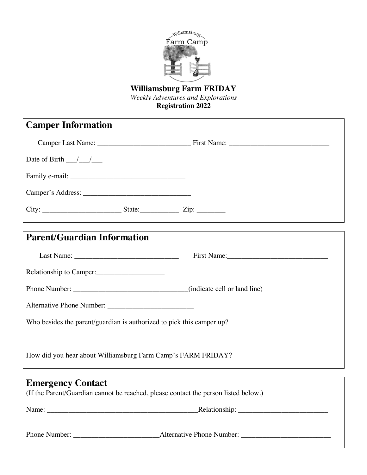

# **Williamsburg Farm FRIDAY**

*Weekly Adventures and Explorations* 

**Registration 2022** 

| <b>Camper Information</b>                                                           |             |
|-------------------------------------------------------------------------------------|-------------|
|                                                                                     |             |
| Date of Birth $\frac{\ }{\ }$                                                       |             |
|                                                                                     |             |
|                                                                                     |             |
|                                                                                     |             |
| <b>Parent/Guardian Information</b>                                                  |             |
|                                                                                     | First Name: |
| Relationship to Camper:                                                             |             |
|                                                                                     |             |
|                                                                                     |             |
| Who besides the parent/guardian is authorized to pick this camper up?               |             |
|                                                                                     |             |
| How did you hear about Williamsburg Farm Camp's FARM FRIDAY?                        |             |
| <b>Emergency Contact</b>                                                            |             |
| (If the Parent/Guardian cannot be reached, please contact the person listed below.) |             |
|                                                                                     |             |
|                                                                                     |             |